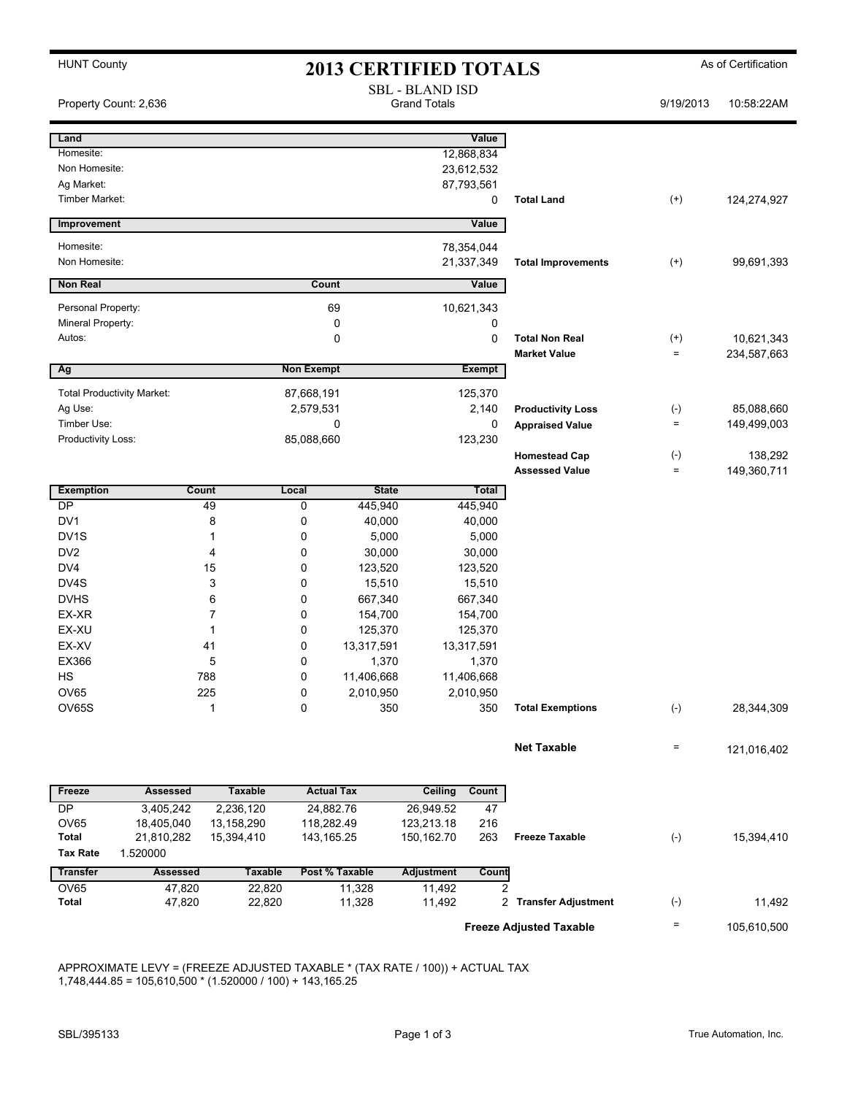| <b>HUNT County</b> |  |
|--------------------|--|
|--------------------|--|

## HUNT County **As of Certification 2013 CERTIFIED TOTALS** As of Certification

| Property Count: 2,636                |                              |                |                   |                                | <b>SBL - BLAND ISD</b><br><b>Grand Totals</b> |               |                                              | 9/19/2013            | 10:58:22AM                |
|--------------------------------------|------------------------------|----------------|-------------------|--------------------------------|-----------------------------------------------|---------------|----------------------------------------------|----------------------|---------------------------|
| Land                                 |                              |                |                   |                                |                                               | Value         |                                              |                      |                           |
| Homesite:                            |                              |                |                   |                                |                                               | 12,868,834    |                                              |                      |                           |
| Non Homesite:                        |                              |                |                   |                                |                                               | 23,612,532    |                                              |                      |                           |
| Ag Market:<br><b>Timber Market:</b>  |                              |                |                   |                                |                                               | 87,793,561    | <b>Total Land</b>                            |                      |                           |
|                                      |                              |                |                   |                                |                                               | 0             |                                              | $^{(+)}$             | 124,274,927               |
| Improvement                          |                              |                |                   |                                |                                               | Value         |                                              |                      |                           |
| Homesite:                            |                              |                |                   |                                |                                               | 78,354,044    |                                              |                      |                           |
| Non Homesite:                        |                              |                |                   |                                |                                               | 21,337,349    | <b>Total Improvements</b>                    | $^{(+)}$             | 99.691,393                |
| <b>Non Real</b>                      |                              |                | Count             |                                |                                               | Value         |                                              |                      |                           |
| Personal Property:                   |                              |                |                   | 69                             |                                               | 10,621,343    |                                              |                      |                           |
| Mineral Property:                    |                              | 0              |                   |                                |                                               | 0             |                                              |                      |                           |
| Autos:                               |                              |                |                   | 0                              |                                               | 0             | <b>Total Non Real</b><br><b>Market Value</b> | $^{(+)}$<br>$\equiv$ | 10,621,343<br>234,587,663 |
| Ag                                   |                              |                | <b>Non Exempt</b> |                                |                                               | <b>Exempt</b> |                                              |                      |                           |
| <b>Total Productivity Market:</b>    |                              |                | 87,668,191        |                                |                                               | 125,370       |                                              |                      |                           |
| Ag Use:                              |                              |                | 2,579,531         |                                |                                               | 2,140         | <b>Productivity Loss</b>                     | $(\text{-})$         | 85,088,660                |
| Timber Use:                          |                              |                |                   | 0                              |                                               | 0             | <b>Appraised Value</b>                       | $\equiv$             | 149,499,003               |
| Productivity Loss:                   |                              |                | 85,088,660        |                                |                                               | 123,230       |                                              |                      |                           |
|                                      |                              |                |                   |                                |                                               |               | <b>Homestead Cap</b>                         | $(\text{-})$         | 138,292                   |
|                                      |                              |                |                   |                                |                                               |               | <b>Assessed Value</b>                        | $\equiv$             | 149,360,711               |
| <b>Exemption</b>                     |                              | Count          | Local             | <b>State</b>                   |                                               | Total         |                                              |                      |                           |
| DP                                   |                              | 49             | 0                 | 445,940                        |                                               | 445,940       |                                              |                      |                           |
| DV1                                  |                              | 8              | 0                 | 40,000                         | 40,000                                        |               |                                              |                      |                           |
| DV <sub>1</sub> S<br>DV <sub>2</sub> |                              | 1<br>4         | 0<br>0            | 5,000<br>30,000                | 5,000                                         |               |                                              |                      |                           |
| DV4                                  |                              | 15             | 0                 | 123,520                        | 30,000<br>123,520                             |               |                                              |                      |                           |
| DV4S                                 |                              | 3              | 0                 | 15,510                         | 15,510                                        |               |                                              |                      |                           |
| <b>DVHS</b>                          |                              | 6              | 0                 | 667,340                        |                                               | 667,340       |                                              |                      |                           |
| EX-XR                                |                              | 7              | 0                 | 154,700                        |                                               | 154,700       |                                              |                      |                           |
| EX-XU                                |                              | $\mathbf 1$    | 0                 | 125,370                        | 125,370                                       |               |                                              |                      |                           |
| EX-XV                                |                              | 41             | 0                 | 13,317,591                     | 13,317,591                                    |               |                                              |                      |                           |
| EX366                                |                              | 5              | 0                 | 1,370                          |                                               | 1,370         |                                              |                      |                           |
| HS                                   |                              | 788            | 0                 | 11,406,668                     |                                               | 11,406,668    |                                              |                      |                           |
| <b>OV65</b>                          |                              | 225            | 0                 | 2,010,950                      |                                               | 2,010,950     |                                              |                      |                           |
| OV65S                                |                              | $\mathbf{1}$   | 0                 | 350                            |                                               | 350           | <b>Total Exemptions</b>                      | $(\text{-})$         | 28,344,309                |
|                                      |                              |                |                   |                                |                                               |               | <b>Net Taxable</b>                           | $\equiv$             | 121,016,402               |
|                                      |                              | <b>Taxable</b> |                   |                                |                                               |               |                                              |                      |                           |
| Freeze<br>DP                         | <b>Assessed</b><br>3,405,242 | 2,236,120      |                   | <b>Actual Tax</b><br>24,882.76 | <b>Ceiling</b><br>26,949.52                   | Count<br>47   |                                              |                      |                           |
| <b>OV65</b>                          | 18,405,040                   | 13,158,290     |                   | 118,282.49                     | 123,213.18                                    | 216           |                                              |                      |                           |
| <b>Total</b>                         | 21,810,282                   | 15,394,410     |                   | 143,165.25                     | 150,162.70                                    | 263           | <b>Freeze Taxable</b>                        | $(-)$                | 15,394,410                |
| <b>Tax Rate</b>                      | 1.520000                     |                |                   |                                |                                               |               |                                              |                      |                           |
| <b>Transfer</b>                      | <b>Assessed</b>              | <b>Taxable</b> |                   | Post % Taxable                 | <b>Adjustment</b>                             | <b>Count</b>  |                                              |                      |                           |
| OV65                                 | 47,820                       | 22,820         |                   | 11,328                         | 11,492                                        | 2             |                                              |                      |                           |
| <b>Total</b>                         | 47,820                       | 22,820         |                   | 11,328                         | 11,492                                        |               | 2 Transfer Adjustment                        | $(\text{-})$         | 11,492                    |
|                                      |                              |                |                   |                                |                                               |               | <b>Freeze Adjusted Taxable</b>               | Ξ                    | 105,610,500               |
|                                      |                              |                |                   |                                |                                               |               |                                              |                      |                           |

APPROXIMATE LEVY = (FREEZE ADJUSTED TAXABLE \* (TAX RATE / 100)) + ACTUAL TAX 1,748,444.85 = 105,610,500 \* (1.520000 / 100) + 143,165.25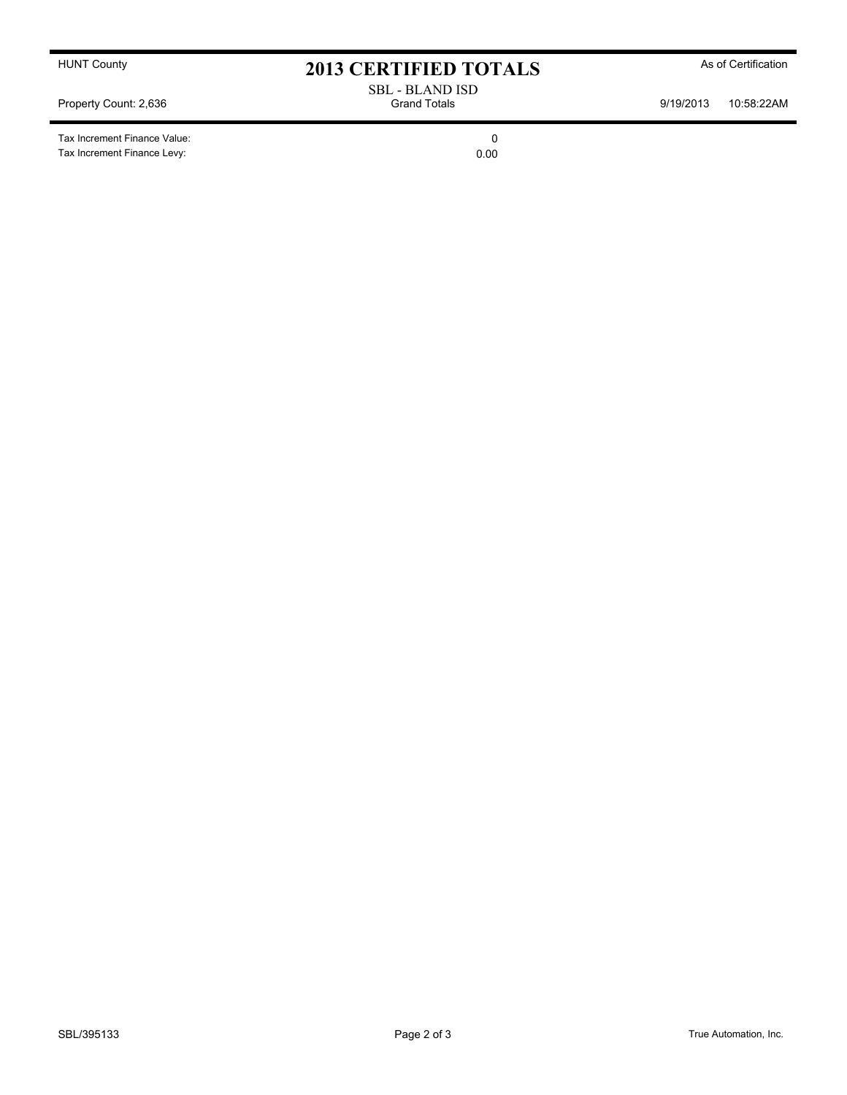Tax Increment Finance Value: 0 Tax Increment Finance Levy: 0.00

HUNT County **As of Certification 2013 CERTIFIED TOTALS** As of Certification

SBL - BLAND ISD Property Count: 2,636 **Accord Property Count: 2,636** Grand Totals **Grand Totals** 9/19/2013 10:58:22AM